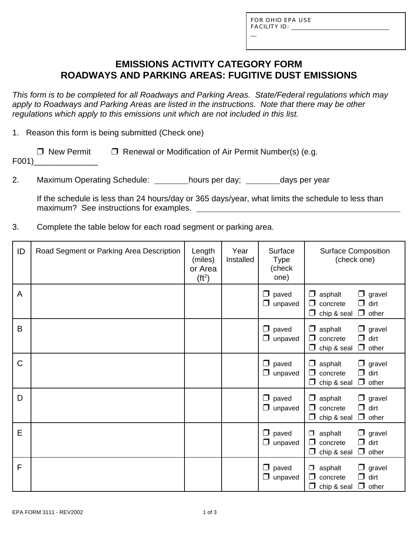ı

# **EMISSIONS ACTIVITY CATEGORY FORM ROADWAYS AND PARKING AREAS: FUGITIVE DUST EMISSIONS**

*This form is to be completed for all Roadways and Parking Areas. State/Federal regulations which may apply to Roadways and Parking Areas are listed in the instructions. Note that there may be other regulations which apply to this emissions unit which are not included in this list.*

1. Reason this form is being submitted (Check one)

| □ New Permit | $\Box$ Renewal or Modification of Air Permit Number(s) (e.g. |
|--------------|--------------------------------------------------------------|
| F001)        |                                                              |

2. Maximum Operating Schedule: hours per day; days per year

If the schedule is less than 24 hours/day or 365 days/year, what limits the schedule to less than maximum? See instructions for examples.

3. Complete the table below for each road segment or parking area.

| ID          | Road Segment or Parking Area Description | Length<br>(miles)<br>or Area<br>(f t <sup>2</sup> ) | Year<br>Installed | Surface<br><b>Type</b><br>(check<br>one) | <b>Surface Composition</b><br>(check one)                                                |                                |
|-------------|------------------------------------------|-----------------------------------------------------|-------------------|------------------------------------------|------------------------------------------------------------------------------------------|--------------------------------|
| A           |                                          |                                                     |                   | $\Box$<br>paved<br>$\Box$<br>unpaved     | $\Box$ asphalt<br>$\Box$<br>$\Box$<br>concrete<br>- 1<br>chip & seal<br>$\Box$<br>$\Box$ | gravel<br>dirt<br>other        |
| B           |                                          |                                                     |                   | $\Box$ paved<br>$\Box$ unpaved           | asphalt<br>$\Box$<br>$\Box$<br>$\Box$ concrete<br>- 1<br>chip & seal<br>$\Box$<br>$\Box$ | gravel<br>dirt<br>other        |
| $\mathsf C$ |                                          |                                                     |                   | $\Box$ paved<br>unpaved<br>$\Box$        | $\Box$ asphalt<br>$\Box$<br>concrete<br>- 1<br>$\Box$<br>$\Box$<br>chip & seal           | $\Box$ gravel<br>dirt<br>other |
| D           |                                          |                                                     |                   | $\Box$<br>paved<br>$\Box$ unpaved        | $\Box$ asphalt<br>$\Box$<br>$\Box$ concrete<br>$\Box$<br>$\Box$<br>chip & seal           | gravel<br>dirt<br>$\Box$ other |
| E           |                                          |                                                     |                   | $\Box$<br>paved<br>$\Box$<br>unpaved     | asphalt<br>0<br>$\Box$<br>concrete<br>┓<br>chip & seal<br>$\Box$<br>$\Box$               | gravel<br>dirt<br>other        |
| F           |                                          |                                                     |                   | paved<br>$\Box$<br>unpaved<br>⋃          | asphalt<br>0<br>$\Box$<br>concrete<br>$\Box$<br>chip & seal                              | gravel<br>dirt<br>$\Box$ other |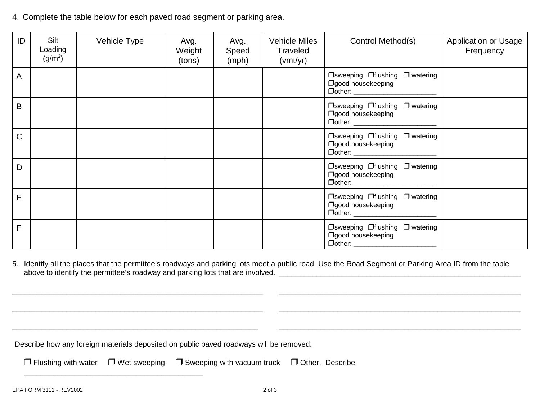4. Complete the table below for each paved road segment or parking area.

| ID | Silt<br>Loading<br>$(g/m^2)$ | Vehicle Type | Avg.<br>Weight<br>(tons) | Avg.<br>Speed<br>(mph) | <b>Vehicle Miles</b><br>Traveled<br>(vmt/yr) | Control Method(s)                                                                                          | <b>Application or Usage</b><br>Frequency |
|----|------------------------------|--------------|--------------------------|------------------------|----------------------------------------------|------------------------------------------------------------------------------------------------------------|------------------------------------------|
| A  |                              |              |                          |                        |                                              | $\Box$ sweeping $\Box$ flushing $\Box$ watering<br>Ogood housekeeping<br>Dother: ________________________  |                                          |
| B  |                              |              |                          |                        |                                              | $\Box$ sweeping $\Box$ flushing $\Box$ watering<br>Ogood housekeeping<br>Dother: ______________________    |                                          |
| C  |                              |              |                          |                        |                                              | $\Box$ sweeping $\Box$ flushing $\Box$ watering<br>Ogood housekeeping<br>Dother: ________________________  |                                          |
| D  |                              |              |                          |                        |                                              | $\Box$ sweeping $\Box$ flushing $\Box$ watering<br>Ogood housekeeping<br>Dother: ________________________  |                                          |
| E  |                              |              |                          |                        |                                              | □sweeping □ flushing □ watering<br>Ogood housekeeping<br>Dother: ________________________                  |                                          |
| F. |                              |              |                          |                        |                                              | $\Box$ sweeping $\Box$ flushing $\Box$ watering<br>Ogood housekeeping<br>Dother: _________________________ |                                          |

5. Identify all the places that the permittee's roadways and parking lots meet a public road. Use the Road Segment or Parking Area ID from the table above to identify the permittee's roadway and parking lots that are involved. \_\_\_\_\_\_\_\_\_\_\_\_\_\_\_\_\_\_\_\_\_\_\_\_\_\_\_\_\_\_\_\_\_\_\_\_\_\_\_\_\_\_\_\_\_\_\_\_\_\_\_\_\_\_\_\_\_\_

Describe how any foreign materials deposited on public paved roadways will be removed.

 $\Box$  Flushing with water  $\Box$  Wet sweeping  $\Box$  Sweeping with vacuum truck  $\Box$  Other. Describe

\_\_\_\_\_\_\_\_\_\_\_\_\_\_\_\_\_\_\_\_\_\_\_\_\_\_\_\_\_\_\_\_\_\_\_\_\_\_\_\_\_\_\_\_\_\_\_\_\_\_\_\_\_\_\_\_\_\_\_ \_\_\_\_\_\_\_\_\_\_\_\_\_\_\_\_\_\_\_\_\_\_\_\_\_\_\_\_\_\_\_\_\_\_\_\_\_\_\_\_\_\_\_\_\_\_\_\_\_\_\_\_\_\_\_\_\_\_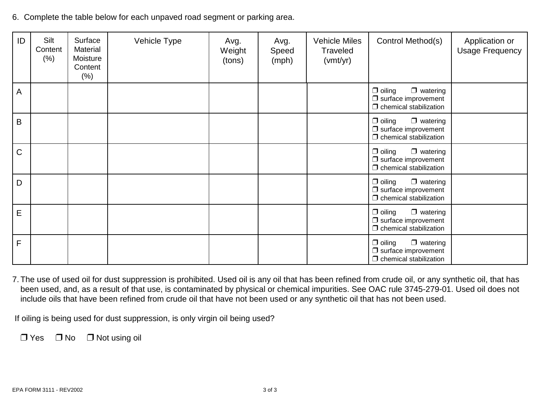| ID             | Silt<br>Content<br>(% ) | Surface<br>Material<br>Moisture<br>Content<br>(% ) | Vehicle Type | Avg.<br>Weight<br>(tons) | Avg.<br>Speed<br>(mph) | <b>Vehicle Miles</b><br><b>Traveled</b><br>(vmt/yr) | Control Method(s)                                                                                  | Application or<br><b>Usage Frequency</b> |
|----------------|-------------------------|----------------------------------------------------|--------------|--------------------------|------------------------|-----------------------------------------------------|----------------------------------------------------------------------------------------------------|------------------------------------------|
| $\overline{A}$ |                         |                                                    |              |                          |                        |                                                     | $\Box$ oiling<br>$\Box$ watering<br>$\Box$ surface improvement<br>$\Box$ chemical stabilization    |                                          |
| B              |                         |                                                    |              |                          |                        |                                                     | $\Box$ oiling<br>$\Box$ watering<br>$\square$ surface improvement<br>$\Box$ chemical stabilization |                                          |
| C              |                         |                                                    |              |                          |                        |                                                     | $\Box$ oiling<br>$\Box$ watering<br>$\square$ surface improvement<br>$\Box$ chemical stabilization |                                          |
| $\mathsf D$    |                         |                                                    |              |                          |                        |                                                     | $\Box$ oiling<br>$\Box$ watering<br>$\square$ surface improvement<br>$\Box$ chemical stabilization |                                          |
| E              |                         |                                                    |              |                          |                        |                                                     | $\Box$ oiling<br>$\Box$ watering<br>$\square$ surface improvement<br>$\Box$ chemical stabilization |                                          |
| F              |                         |                                                    |              |                          |                        |                                                     | $\Box$ oiling<br>$\Box$ watering<br>$\square$ surface improvement<br>$\Box$ chemical stabilization |                                          |

6. Complete the table below for each unpaved road segment or parking area.

7. The use of used oil for dust suppression is prohibited. Used oil is any oil that has been refined from crude oil, or any synthetic oil, that has been used, and, as a result of that use, is contaminated by physical or chemical impurities. See OAC rule 3745-279-01. Used oil does not include oils that have been refined from crude oil that have not been used or any synthetic oil that has not been used.

If oiling is being used for dust suppression, is only virgin oil being used?

 $\Box$  Yes  $\Box$  No  $\Box$  Not using oil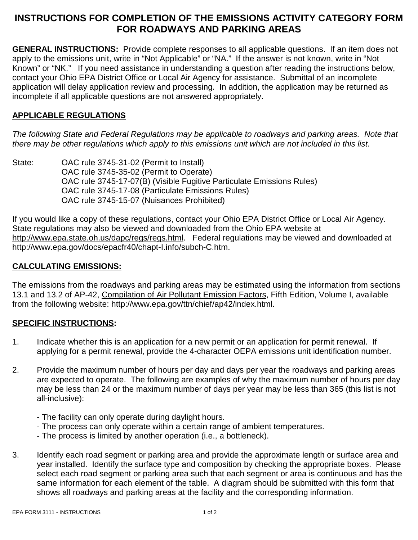# **INSTRUCTIONS FOR COMPLETION OF THE EMISSIONS ACTIVITY CATEGORY FORM FOR ROADWAYS AND PARKING AREAS**

**GENERAL INSTRUCTIONS:** Provide complete responses to all applicable questions. If an item does not apply to the emissions unit, write in "Not Applicable" or "NA." If the answer is not known, write in "Not Known" or "NK." If you need assistance in understanding a question after reading the instructions below, contact your Ohio EPA District Office or Local Air Agency for assistance. Submittal of an incomplete application will delay application review and processing. In addition, the application may be returned as incomplete if all applicable questions are not answered appropriately.

### **APPLICABLE REGULATIONS**

*The following State and Federal Regulations may be applicable to roadways and parking areas. Note that there may be other regulations which apply to this emissions unit which are not included in this list.*

State: OAC rule 3745-31-02 (Permit to Install) OAC rule 3745-35-02 (Permit to Operate) OAC rule 3745-17-07(B) (Visible Fugitive Particulate Emissions Rules) OAC rule 3745-17-08 (Particulate Emissions Rules) OAC rule 3745-15-07 (Nuisances Prohibited)

If you would like a copy of these regulations, contact your Ohio EPA District Office or Local Air Agency. State regulations may also be viewed and downloaded from the Ohio EPA website at http://www.epa.state.oh.us/dapc/regs/regs.html. Federal regulations may be viewed and downloaded at http://www.epa.gov/docs/epacfr40/chapt-I.info/subch-C.htm.

### **CALCULATING EMISSIONS:**

The emissions from the roadways and parking areas may be estimated using the information from sections 13.1 and 13.2 of AP-42, Compilation of Air Pollutant Emission Factors, Fifth Edition, Volume I, available from the following website: http://www.epa.gov/ttn/chief/ap42/index.html.

#### **SPECIFIC INSTRUCTIONS:**

- 1. Indicate whether this is an application for a new permit or an application for permit renewal. If applying for a permit renewal, provide the 4-character OEPA emissions unit identification number.
- 2. Provide the maximum number of hours per day and days per year the roadways and parking areas are expected to operate. The following are examples of why the maximum number of hours per day may be less than 24 or the maximum number of days per year may be less than 365 (this list is not all-inclusive):
	- The facility can only operate during daylight hours.
	- The process can only operate within a certain range of ambient temperatures.
	- The process is limited by another operation (i.e., a bottleneck).
- 3. Identify each road segment or parking area and provide the approximate length or surface area and year installed. Identify the surface type and composition by checking the appropriate boxes. Please select each road segment or parking area such that each segment or area is continuous and has the same information for each element of the table. A diagram should be submitted with this form that shows all roadways and parking areas at the facility and the corresponding information.